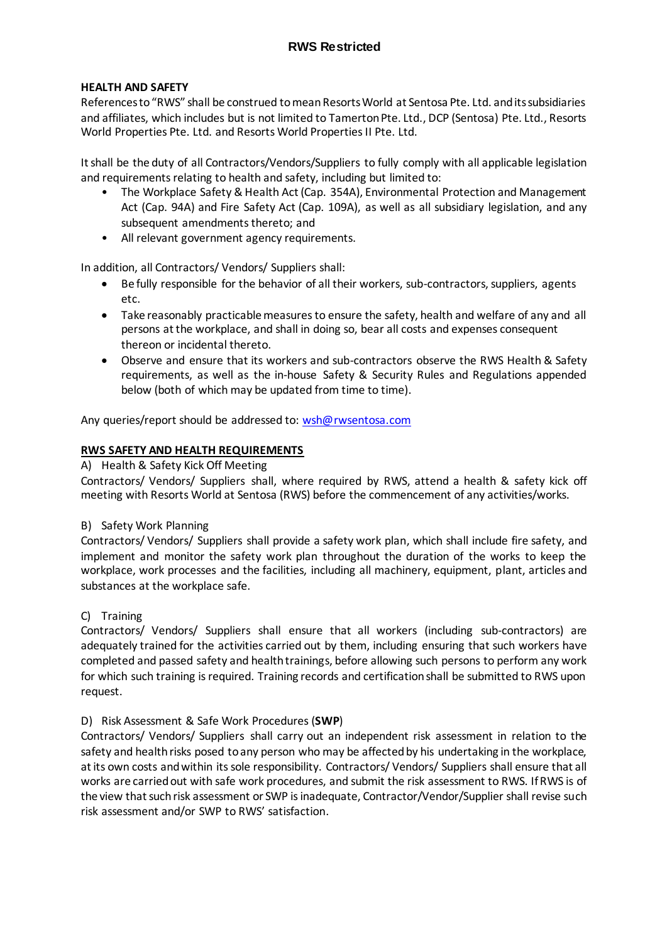#### **HEALTH AND SAFETY**

References to "RWS" shall be construed to mean Resorts World at Sentosa Pte. Ltd. and its subsidiaries and affiliates, which includes but is not limited to Tamerton Pte. Ltd., DCP (Sentosa) Pte. Ltd., Resorts World Properties Pte. Ltd. and Resorts World Properties II Pte. Ltd.

It shall be the duty of all Contractors/Vendors/Suppliers to fully comply with all applicable legislation and requirements relating to health and safety, including but limited to:

- The Workplace Safety & Health Act (Cap. 354A), Environmental Protection and Management Act (Cap. 94A) and Fire Safety Act (Cap. 109A), as well as all subsidiary legislation, and any subsequent amendments thereto; and
- All relevant government agency requirements.

In addition, all Contractors/ Vendors/ Suppliers shall:

- Be fully responsible for the behavior of all their workers, sub-contractors, suppliers, agents etc.
- Take reasonably practicable measures to ensure the safety, health and welfare of any and all persons at the workplace, and shall in doing so, bear all costs and expenses consequent thereon or incidental thereto.
- Observe and ensure that its workers and sub-contractors observe the RWS Health & Safety requirements, as well as the in-house Safety & Security Rules and Regulations appended below (both of which may be updated from time to time).

Any queries/report should be addressed to: [wsh@rwsentosa.com](mailto:wsh@rwsentosa.com)

#### **RWS SAFETY AND HEALTH REQUIREMENTS**

A) Health & Safety Kick Off Meeting

Contractors/ Vendors/ Suppliers shall, where required by RWS, attend a health & safety kick off meeting with Resorts World at Sentosa (RWS) before the commencement of any activities/works.

#### B) Safety Work Planning

Contractors/ Vendors/ Suppliers shall provide a safety work plan, which shall include fire safety, and implement and monitor the safety work plan throughout the duration of the works to keep the workplace, work processes and the facilities, including all machinery, equipment, plant, articles and substances at the workplace safe.

#### C) Training

Contractors/ Vendors/ Suppliers shall ensure that all workers (including sub-contractors) are adequately trained for the activities carried out by them, including ensuring that such workers have completed and passed safety and health trainings, before allowing such persons to perform any work for which such training is required. Training records and certification shall be submitted to RWS upon request.

#### D) Risk Assessment & Safe Work Procedures (**SWP**)

Contractors/ Vendors/ Suppliers shall carry out an independent risk assessment in relation to the safety and health risks posed to any person who may be affected by his undertaking in the workplace, at its own costs and within its sole responsibility. Contractors/ Vendors/ Suppliers shall ensure that all works are carried out with safe work procedures, and submit the risk assessment to RWS. If RWS is of the view that such risk assessment or SWP is inadequate, Contractor/Vendor/Supplier shall revise such risk assessment and/or SWP to RWS' satisfaction.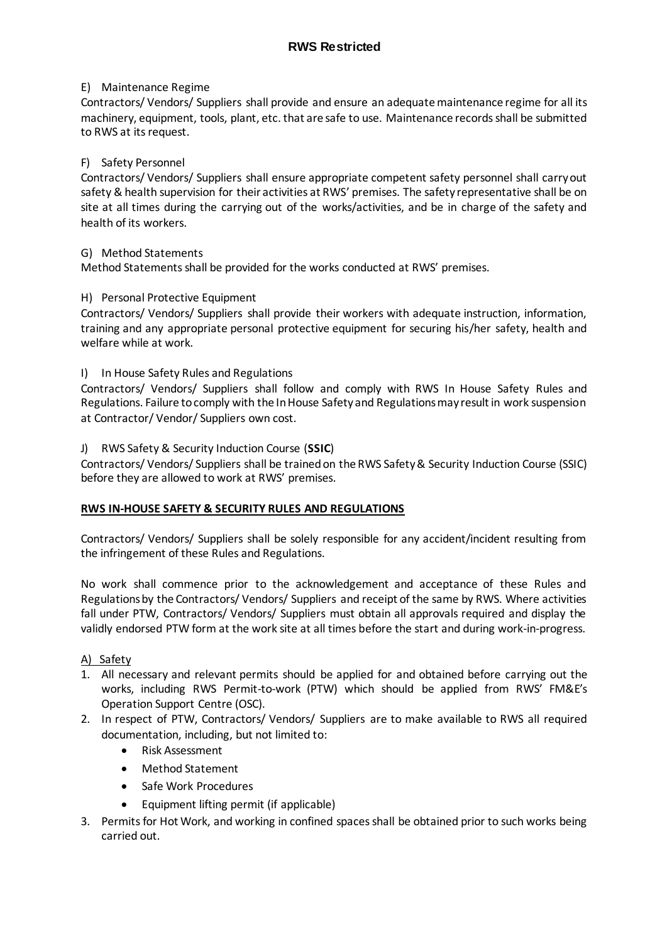### E) Maintenance Regime

Contractors/ Vendors/ Suppliers shall provide and ensure an adequate maintenance regime for all its machinery, equipment, tools, plant, etc. that are safe to use. Maintenance records shall be submitted to RWS at its request.

### F) Safety Personnel

Contractors/ Vendors/ Suppliers shall ensure appropriate competent safety personnel shall carry out safety & health supervision for their activities at RWS' premises. The safety representative shall be on site at all times during the carrying out of the works/activities, and be in charge of the safety and health of its workers.

#### G) Method Statements

Method Statements shall be provided for the works conducted at RWS' premises.

## H) Personal Protective Equipment

Contractors/ Vendors/ Suppliers shall provide their workers with adequate instruction, information, training and any appropriate personal protective equipment for securing his/her safety, health and welfare while at work.

## I) In House Safety Rules and Regulations

Contractors/ Vendors/ Suppliers shall follow and comply with RWS In House Safety Rules and Regulations. Failure to comply with the In House Safety and Regulations may result in work suspension at Contractor/ Vendor/ Suppliers own cost.

#### J) RWS Safety & Security Induction Course (**SSIC**)

Contractors/ Vendors/ Suppliers shall be trained on the RWS Safety & Security Induction Course (SSIC) before they are allowed to work at RWS' premises.

#### **RWS IN-HOUSE SAFETY & SECURITY RULES AND REGULATIONS**

Contractors/ Vendors/ Suppliers shall be solely responsible for any accident/incident resulting from the infringement of these Rules and Regulations.

No work shall commence prior to the acknowledgement and acceptance of these Rules and Regulations by the Contractors/ Vendors/ Suppliers and receipt of the same by RWS. Where activities fall under PTW, Contractors/ Vendors/ Suppliers must obtain all approvals required and display the validly endorsed PTW form at the work site at all times before the start and during work-in-progress.

#### A) Safety

- 1. All necessary and relevant permits should be applied for and obtained before carrying out the works, including RWS Permit-to-work (PTW) which should be applied from RWS' FM&E's Operation Support Centre (OSC).
- 2. In respect of PTW, Contractors/ Vendors/ Suppliers are to make available to RWS all required documentation, including, but not limited to:
	- Risk Assessment
	- Method Statement
	- Safe Work Procedures
	- Equipment lifting permit (if applicable)
- 3. Permits for Hot Work, and working in confined spaces shall be obtained prior to such works being carried out.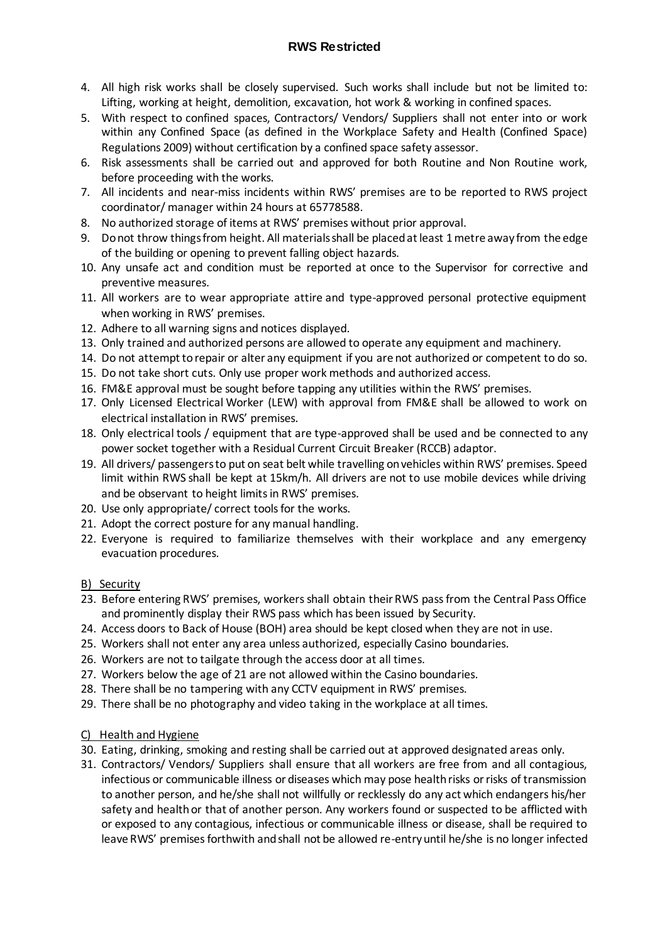# **RWS Restricted**

- 4. All high risk works shall be closely supervised. Such works shall include but not be limited to: Lifting, working at height, demolition, excavation, hot work & working in confined spaces.
- 5. With respect to confined spaces, Contractors/ Vendors/ Suppliers shall not enter into or work within any Confined Space (as defined in the Workplace Safety and Health (Confined Space) Regulations 2009) without certification by a confined space safety assessor.
- 6. Risk assessments shall be carried out and approved for both Routine and Non Routine work, before proceeding with the works.
- 7. All incidents and near-miss incidents within RWS' premises are to be reported to RWS project coordinator/ manager within 24 hours at 65778588.
- 8. No authorized storage of items at RWS' premises without prior approval.
- 9. Do not throw things from height. All materials shall be placed at least 1 metre away from the edge of the building or opening to prevent falling object hazards.
- 10. Any unsafe act and condition must be reported at once to the Supervisor for corrective and preventive measures.
- 11. All workers are to wear appropriate attire and type-approved personal protective equipment when working in RWS' premises.
- 12. Adhere to all warning signs and notices displayed.
- 13. Only trained and authorized persons are allowed to operate any equipment and machinery.
- 14. Do not attempt to repair or alter any equipment if you are not authorized or competent to do so.
- 15. Do not take short cuts. Only use proper work methods and authorized access.
- 16. FM&E approval must be sought before tapping any utilities within the RWS' premises.
- 17. Only Licensed Electrical Worker (LEW) with approval from FM&E shall be allowed to work on electrical installation in RWS' premises.
- 18. Only electrical tools / equipment that are type-approved shall be used and be connected to any power socket together with a Residual Current Circuit Breaker (RCCB) adaptor.
- 19. All drivers/ passengers to put on seat belt while travelling on vehicles within RWS' premises. Speed limit within RWS shall be kept at 15km/h. All drivers are not to use mobile devices while driving and be observant to height limits in RWS' premises.
- 20. Use only appropriate/ correct tools for the works.
- 21. Adopt the correct posture for any manual handling.
- 22. Everyone is required to familiarize themselves with their workplace and any emergency evacuation procedures.

#### B) Security

- 23. Before entering RWS' premises, workers shall obtain their RWS pass from the Central Pass Office and prominently display their RWS pass which has been issued by Security.
- 24. Access doors to Back of House (BOH) area should be kept closed when they are not in use.
- 25. Workers shall not enter any area unless authorized, especially Casino boundaries.
- 26. Workers are not to tailgate through the access door at all times.
- 27. Workers below the age of 21 are not allowed within the Casino boundaries.
- 28. There shall be no tampering with any CCTV equipment in RWS' premises.
- 29. There shall be no photography and video taking in the workplace at all times.

# C) Health and Hygiene

- 30. Eating, drinking, smoking and resting shall be carried out at approved designated areas only.
- 31. Contractors/ Vendors/ Suppliers shall ensure that all workers are free from and all contagious, infectious or communicable illness or diseases which may pose health risks or risks of transmission to another person, and he/she shall not willfully or recklessly do any act which endangers his/her safety and health or that of another person. Any workers found or suspected to be afflicted with or exposed to any contagious, infectious or communicable illness or disease, shall be required to leave RWS' premises forthwith and shall not be allowed re-entry until he/she is no longer infected